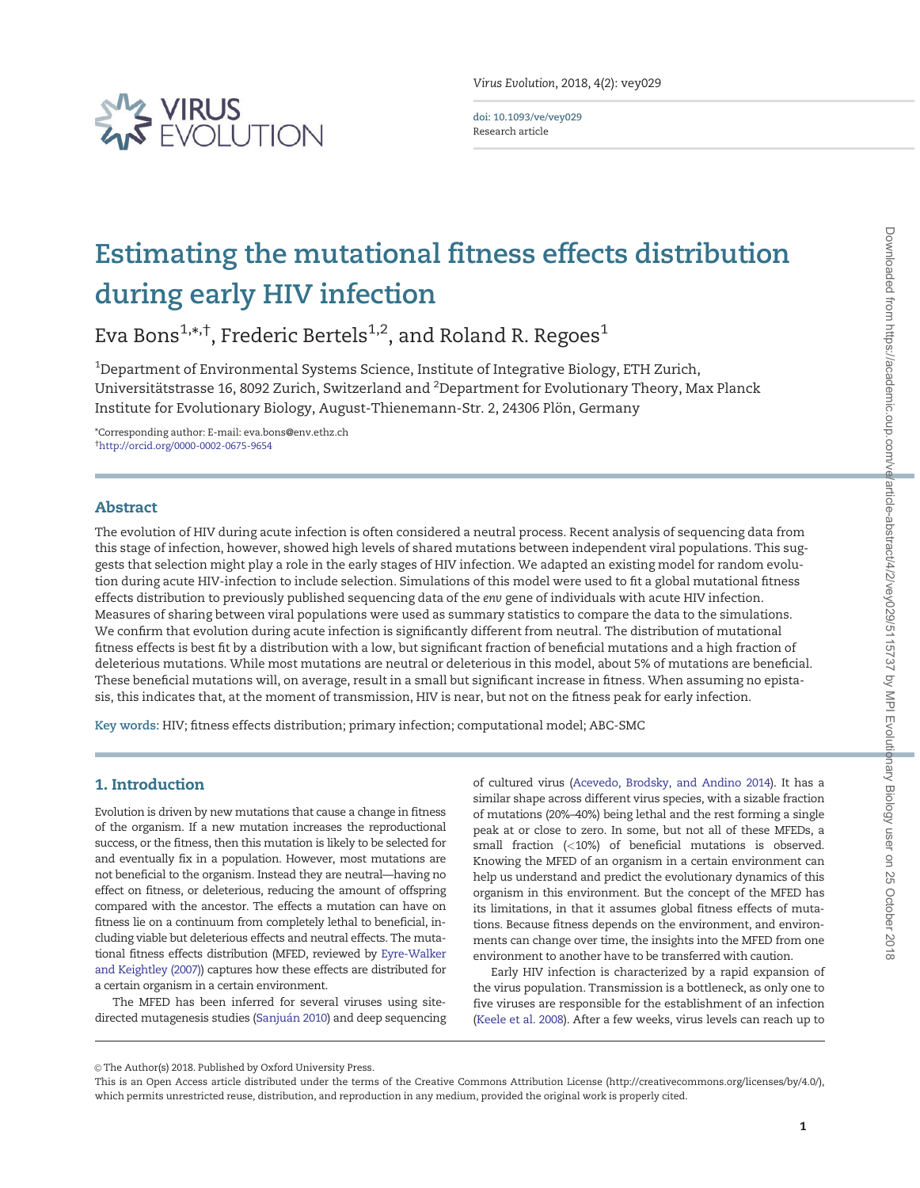

Virus Evolution, 2018, 4(2): vey029

doi: 10.1093/ve/vey029 Research article

# Estimating the mutational fitness effects distribution during early HIV infection

Eva Bons $^{1, * , \dagger}$ , Frederic Bertels $^{1, 2}$ , and Roland R. Regoes $^1$ 

 $^{\rm 1}$ Department of Environmental Systems Science, Institute of Integrative Biology, ETH Zurich, Universitätstrasse 16, 8092 Zurich, Switzerland and <sup>2</sup>Department for Evolutionary Theory, Max Planck Institute for Evolutionary Biology, August-Thienemann-Str. 2, 24306 Plön, Germany

\*Corresponding author: E-mail: eva.bons@env.ethz.ch † <http://orcid.org/0000-0002-0675-9654>

# Abstract

The evolution of HIV during acute infection is often considered a neutral process. Recent analysis of sequencing data from this stage of infection, however, showed high levels of shared mutations between independent viral populations. This suggests that selection might play a role in the early stages of HIV infection. We adapted an existing model for random evolution during acute HIV-infection to include selection. Simulations of this model were used to fit a global mutational fitness effects distribution to previously published sequencing data of the env gene of individuals with acute HIV infection. Measures of sharing between viral populations were used as summary statistics to compare the data to the simulations. We confirm that evolution during acute infection is significantly different from neutral. The distribution of mutational fitness effects is best fit by a distribution with a low, but significant fraction of beneficial mutations and a high fraction of deleterious mutations. While most mutations are neutral or deleterious in this model, about 5% of mutations are beneficial. These beneficial mutations will, on average, result in a small but significant increase in fitness. When assuming no epistasis, this indicates that, at the moment of transmission, HIV is near, but not on the fitness peak for early infection.

Key words: HIV; fitness effects distribution; primary infection; computational model; ABC-SMC

# 1. Introduction

Evolution is driven by new mutations that cause a change in fitness of the organism. If a new mutation increases the reproductional success, or the fitness, then this mutation is likely to be selected for and eventually fix in a population. However, most mutations are not beneficial to the organism. Instead they are neutral—having no effect on fitness, or deleterious, reducing the amount of offspring compared with the ancestor. The effects a mutation can have on fitness lie on a continuum from completely lethal to beneficial, including viable but deleterious effects and neutral effects. The mutational fitness effects distribution (MFED, reviewed by [Eyre-Walker](#page-9-0) [and Keightley \(2007\)\)](#page-9-0) captures how these effects are distributed for a certain organism in a certain environment.

The MFED has been inferred for several viruses using sitedirected mutagenesis studies (Sanjuán 2010) and deep sequencing of cultured virus ([Acevedo, Brodsky, and Andino 2014\)](#page-9-0). It has a similar shape across different virus species, with a sizable fraction of mutations (20%–40%) being lethal and the rest forming a single peak at or close to zero. In some, but not all of these MFEDs, a small fraction (<10%) of beneficial mutations is observed. Knowing the MFED of an organism in a certain environment can help us understand and predict the evolutionary dynamics of this organism in this environment. But the concept of the MFED has its limitations, in that it assumes global fitness effects of mutations. Because fitness depends on the environment, and environments can change over time, the insights into the MFED from one environment to another have to be transferred with caution.

Early HIV infection is characterized by a rapid expansion of the virus population. Transmission is a bottleneck, as only one to five viruses are responsible for the establishment of an infection [\(Keele et al. 2008](#page-9-0)). After a few weeks, virus levels can reach up to

© The Author(s) 2018. Published by Oxford University Press.

This is an Open Access article distributed under the terms of the Creative Commons Attribution License (http://creativecommons.org/licenses/by/4.0/), which permits unrestricted reuse, distribution, and reproduction in any medium, provided the original work is properly cited.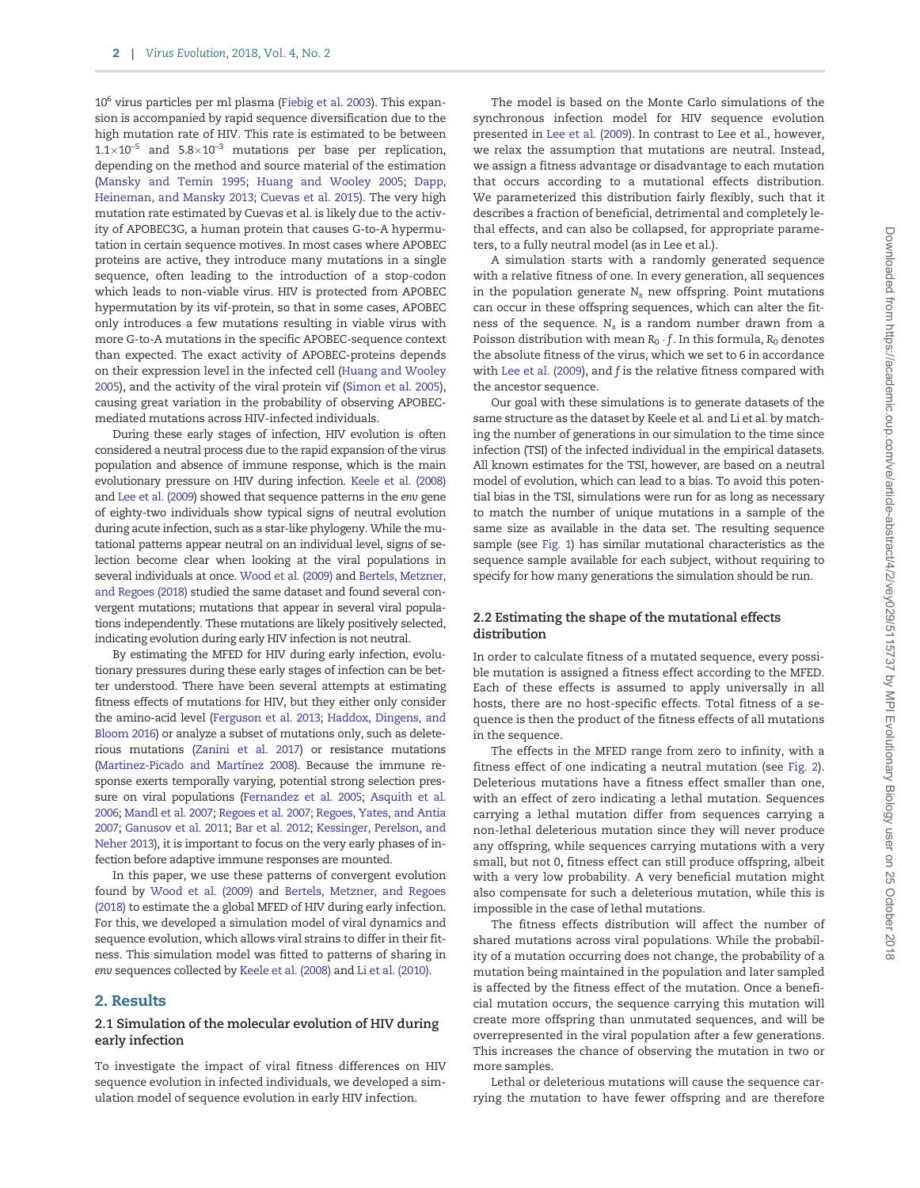$10<sup>6</sup>$  virus particles per ml plasma [\(Fiebig et al. 2003](#page-9-0)). This expansion is accompanied by rapid sequence diversification due to the high mutation rate of HIV. This rate is estimated to be between  $1.1\times10^{-5}$  and  $5.8\times10^{-3}$  mutations per base per replication, depending on the method and source material of the estimation [\(Mansky and Temin 1995;](#page-10-0) [Huang and Wooley 2005;](#page-9-0) [Dapp,](#page-9-0) [Heineman, and Mansky 2013;](#page-9-0) [Cuevas et al. 2015](#page-9-0)). The very high mutation rate estimated by Cuevas et al. is likely due to the activity of APOBEC3G, a human protein that causes G-to-A hypermutation in certain sequence motives. In most cases where APOBEC proteins are active, they introduce many mutations in a single sequence, often leading to the introduction of a stop-codon which leads to non-viable virus. HIV is protected from APOBEC hypermutation by its vif-protein, so that in some cases, APOBEC only introduces a few mutations resulting in viable virus with more G-to-A mutations in the specific APOBEC-sequence context than expected. The exact activity of APOBEC-proteins depends on their expression level in the infected cell ([Huang and Wooley](#page-9-0) [2005](#page-9-0)), and the activity of the viral protein vif ([Simon et al. 2005\)](#page-10-0), causing great variation in the probability of observing APOBECmediated mutations across HIV-infected individuals.

During these early stages of infection, HIV evolution is often considered a neutral process due to the rapid expansion of the virus population and absence of immune response, which is the main evolutionary pressure on HIV during infection. [Keele et al. \(2008\)](#page-9-0) and [Lee et al. \(2009\)](#page-9-0) showed that sequence patterns in the env gene of eighty-two individuals show typical signs of neutral evolution during acute infection, such as a star-like phylogeny. While the mutational patterns appear neutral on an individual level, signs of selection become clear when looking at the viral populations in several individuals at once. [Wood et al. \(2009\)](#page-10-0) and [Bertels, Metzner,](#page-9-0) [and Regoes \(2018\)](#page-9-0) studied the same dataset and found several convergent mutations; mutations that appear in several viral populations independently. These mutations are likely positively selected, indicating evolution during early HIV infection is not neutral.

By estimating the MFED for HIV during early infection, evolutionary pressures during these early stages of infection can be better understood. There have been several attempts at estimating fitness effects of mutations for HIV, but they either only consider the amino-acid level [\(Ferguson et al. 2013](#page-9-0); [Haddox, Dingens, and](#page-9-0) [Bloom 2016\)](#page-9-0) or analyze a subset of mutations only, such as deleterious mutations [\(Zanini et al. 2017\)](#page-10-0) or resistance mutations (Martinez-Picado and Martínez 2008). Because the immune response exerts temporally varying, potential strong selection pressure on viral populations [\(Fernandez et al. 2005](#page-9-0); [Asquith et al.](#page-9-0) [2006;](#page-9-0) [Mandl et al. 2007;](#page-10-0) [Regoes et al. 2007; Regoes, Yates, and Antia](#page-10-0) [2007;](#page-10-0) [Ganusov et al. 2011](#page-9-0); [Bar et al. 2012;](#page-9-0) [Kessinger, Perelson, and](#page-9-0) [Neher 2013\)](#page-9-0), it is important to focus on the very early phases of infection before adaptive immune responses are mounted.

In this paper, we use these patterns of convergent evolution found by [Wood et al. \(2009\)](#page-10-0) and [Bertels, Metzner, and Regoes](#page-9-0) [\(2018\)](#page-9-0) to estimate the a global MFED of HIV during early infection. For this, we developed a simulation model of viral dynamics and sequence evolution, which allows viral strains to differ in their fitness. This simulation model was fitted to patterns of sharing in env sequences collected by [Keele et al. \(2008\)](#page-9-0) and [Li et al. \(2010\).](#page-9-0)

## 2. Results

## 2.1 Simulation of the molecular evolution of HIV during early infection

To investigate the impact of viral fitness differences on HIV sequence evolution in infected individuals, we developed a simulation model of sequence evolution in early HIV infection.

The model is based on the Monte Carlo simulations of the synchronous infection model for HIV sequence evolution presented in [Lee et al. \(2009\)](#page-9-0). In contrast to Lee et al., however, we relax the assumption that mutations are neutral. Instead, we assign a fitness advantage or disadvantage to each mutation that occurs according to a mutational effects distribution. We parameterized this distribution fairly flexibly, such that it describes a fraction of beneficial, detrimental and completely lethal effects, and can also be collapsed, for appropriate parameters, to a fully neutral model (as in Lee et al.).

A simulation starts with a randomly generated sequence with a relative fitness of one. In every generation, all sequences in the population generate  $N_s$  new offspring. Point mutations can occur in these offspring sequences, which can alter the fitness of the sequence.  $N_s$  is a random number drawn from a Poisson distribution with mean  $R_0 \cdot f$ . In this formula,  $R_0$  denotes the absolute fitness of the virus, which we set to 6 in accordance with [Lee et al. \(2009](#page-9-0)), and f is the relative fitness compared with the ancestor sequence.

Our goal with these simulations is to generate datasets of the same structure as the dataset by Keele et al. and Li et al. by matching the number of generations in our simulation to the time since infection (TSI) of the infected individual in the empirical datasets. All known estimates for the TSI, however, are based on a neutral model of evolution, which can lead to a bias. To avoid this potential bias in the TSI, simulations were run for as long as necessary to match the number of unique mutations in a sample of the same size as available in the data set. The resulting sequence sample (see [Fig. 1](#page-2-0)) has similar mutational characteristics as the sequence sample available for each subject, without requiring to specify for how many generations the simulation should be run.

## 2.2 Estimating the shape of the mutational effects distribution

In order to calculate fitness of a mutated sequence, every possible mutation is assigned a fitness effect according to the MFED. Each of these effects is assumed to apply universally in all hosts, there are no host-specific effects. Total fitness of a sequence is then the product of the fitness effects of all mutations in the sequence.

The effects in the MFED range from zero to infinity, with a fitness effect of one indicating a neutral mutation (see [Fig. 2\)](#page-2-0). Deleterious mutations have a fitness effect smaller than one, with an effect of zero indicating a lethal mutation. Sequences carrying a lethal mutation differ from sequences carrying a non-lethal deleterious mutation since they will never produce any offspring, while sequences carrying mutations with a very small, but not 0, fitness effect can still produce offspring, albeit with a very low probability. A very beneficial mutation might also compensate for such a deleterious mutation, while this is impossible in the case of lethal mutations.

The fitness effects distribution will affect the number of shared mutations across viral populations. While the probability of a mutation occurring does not change, the probability of a mutation being maintained in the population and later sampled is affected by the fitness effect of the mutation. Once a beneficial mutation occurs, the sequence carrying this mutation will create more offspring than unmutated sequences, and will be overrepresented in the viral population after a few generations. This increases the chance of observing the mutation in two or more samples.

Lethal or deleterious mutations will cause the sequence carrying the mutation to have fewer offspring and are therefore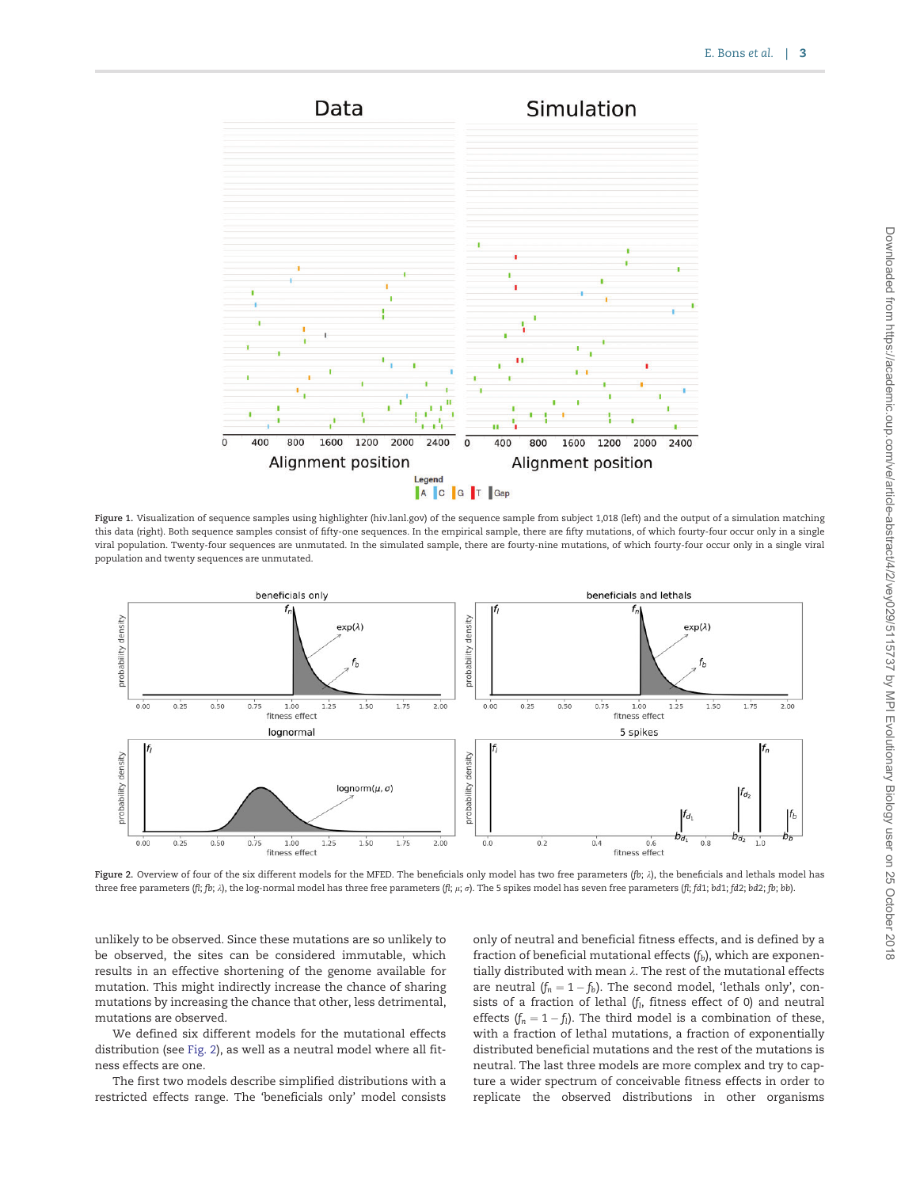<span id="page-2-0"></span>

Figure 1. Visualization of sequence samples using highlighter (hiv.lanl.gov) of the sequence sample from subject 1,018 (left) and the output of a simulation matching this data (right). Both sequence samples consist of fifty-one sequences. In the empirical sample, there are fifty mutations, of which fourty-four occur only in a single viral population. Twenty-four sequences are unmutated. In the simulated sample, there are fourty-nine mutations, of which fourty-four occur only in a single viral population and twenty sequences are unmutated.



Figure 2. Overview of four of the six different models for the MFED. The beneficials only model has two free parameters (fb;  $\lambda$ ), the beneficials and lethals model has three free parameters (fl; fb;  $\lambda$ ), the log-normal model has three free parameters (fl;  $\mu$ ;  $\sigma$ ). The 5 spikes model has seven free parameters (fl; fd1; bd1; fd2; bd2; fb; bb).

unlikely to be observed. Since these mutations are so unlikely to be observed, the sites can be considered immutable, which results in an effective shortening of the genome available for mutation. This might indirectly increase the chance of sharing mutations by increasing the chance that other, less detrimental, mutations are observed.

We defined six different models for the mutational effects distribution (see Fig. 2), as well as a neutral model where all fitness effects are one.

The first two models describe simplified distributions with a restricted effects range. The 'beneficials only' model consists

only of neutral and beneficial fitness effects, and is defined by a fraction of beneficial mutational effects  $(f_b)$ , which are exponentially distributed with mean  $\lambda$ . The rest of the mutational effects are neutral  $(f_n = 1 - f_b)$ . The second model, 'lethals only', consists of a fraction of lethal ( $f<sub>l</sub>$ , fitness effect of 0) and neutral effects  $(f_n = 1 - f_1)$ . The third model is a combination of these, with a fraction of lethal mutations, a fraction of exponentially distributed beneficial mutations and the rest of the mutations is neutral. The last three models are more complex and try to capture a wider spectrum of conceivable fitness effects in order to replicate the observed distributions in other organisms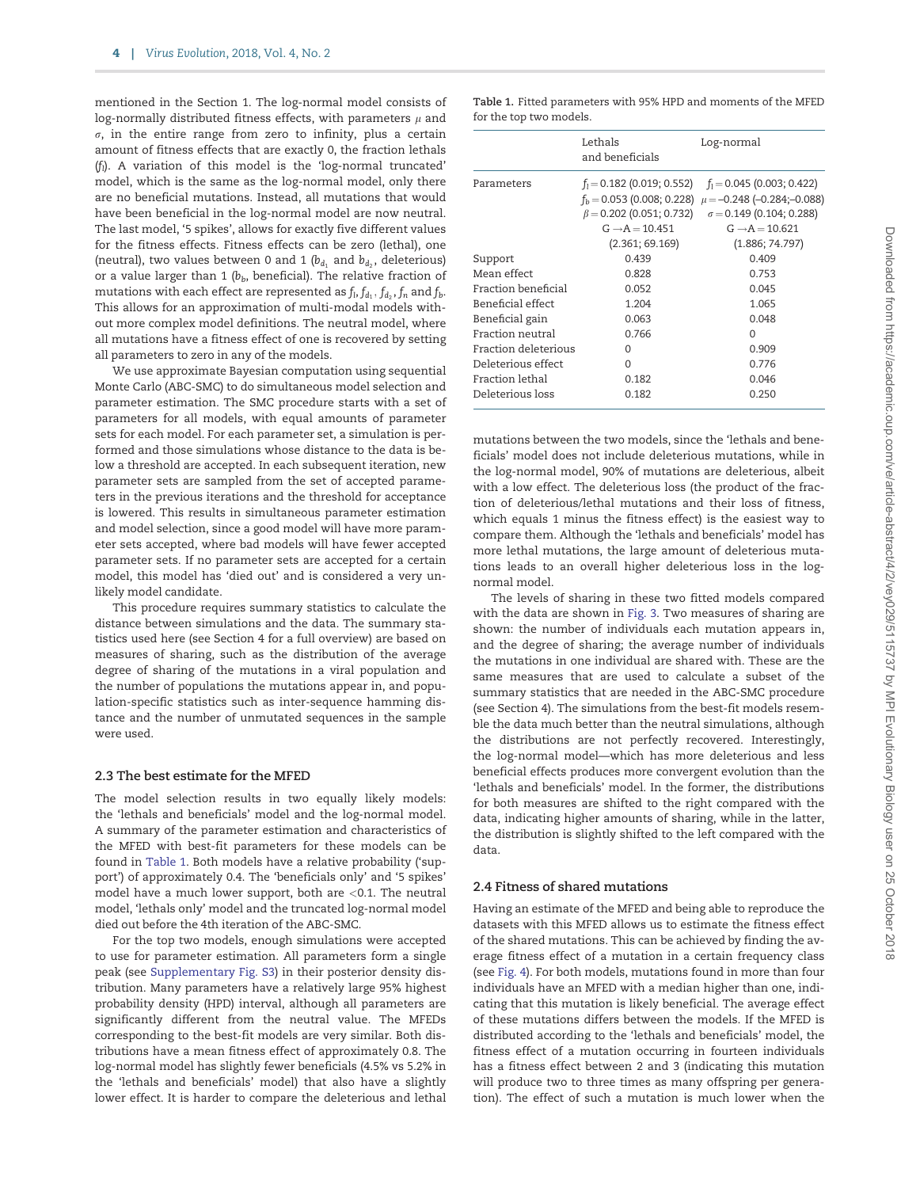mentioned in the Section 1. The log-normal model consists of log-normally distributed fitness effects, with parameters  $\mu$  and  $\sigma$ , in the entire range from zero to infinity, plus a certain amount of fitness effects that are exactly 0, the fraction lethals  $(f<sub>i</sub>)$ . A variation of this model is the 'log-normal truncated' model, which is the same as the log-normal model, only there are no beneficial mutations. Instead, all mutations that would have been beneficial in the log-normal model are now neutral. The last model, '5 spikes', allows for exactly five different values for the fitness effects. Fitness effects can be zero (lethal), one (neutral), two values between 0 and 1 ( $b_{d_1}$  and  $b_{d_2}$ , deleterious) or a value larger than 1 ( $b<sub>b</sub>$ , beneficial). The relative fraction of mutations with each effect are represented as  $f_1, f_{d_1}, f_{d_2}, f_n$  and  $f_b$ . This allows for an approximation of multi-modal models without more complex model definitions. The neutral model, where all mutations have a fitness effect of one is recovered by setting all parameters to zero in any of the models.

We use approximate Bayesian computation using sequential Monte Carlo (ABC-SMC) to do simultaneous model selection and parameter estimation. The SMC procedure starts with a set of parameters for all models, with equal amounts of parameter sets for each model. For each parameter set, a simulation is performed and those simulations whose distance to the data is below a threshold are accepted. In each subsequent iteration, new parameter sets are sampled from the set of accepted parameters in the previous iterations and the threshold for acceptance is lowered. This results in simultaneous parameter estimation and model selection, since a good model will have more parameter sets accepted, where bad models will have fewer accepted parameter sets. If no parameter sets are accepted for a certain model, this model has 'died out' and is considered a very unlikely model candidate.

This procedure requires summary statistics to calculate the distance between simulations and the data. The summary statistics used here (see Section 4 for a full overview) are based on measures of sharing, such as the distribution of the average degree of sharing of the mutations in a viral population and the number of populations the mutations appear in, and population-specific statistics such as inter-sequence hamming distance and the number of unmutated sequences in the sample were used.

#### 2.3 The best estimate for the MFED

The model selection results in two equally likely models: the 'lethals and beneficials' model and the log-normal model. A summary of the parameter estimation and characteristics of the MFED with best-fit parameters for these models can be found in Table 1. Both models have a relative probability ('support') of approximately 0.4. The 'beneficials only' and '5 spikes' model have a much lower support, both are <0.1. The neutral model, 'lethals only' model and the truncated log-normal model died out before the 4th iteration of the ABC-SMC.

For the top two models, enough simulations were accepted to use for parameter estimation. All parameters form a single peak (see [Supplementary Fig. S3](https://academic.oup.com/ve/article-lookup/doi/10.1093/ve/vey029#supplementary-data)) in their posterior density distribution. Many parameters have a relatively large 95% highest probability density (HPD) interval, although all parameters are significantly different from the neutral value. The MFEDs corresponding to the best-fit models are very similar. Both distributions have a mean fitness effect of approximately 0.8. The log-normal model has slightly fewer beneficials (4.5% vs 5.2% in the 'lethals and beneficials' model) that also have a slightly lower effect. It is harder to compare the deleterious and lethal

|  | Table 1. Fitted parameters with 95% HPD and moments of the MFED |  |  |  |  |
|--|-----------------------------------------------------------------|--|--|--|--|
|  | for the top two models.                                         |  |  |  |  |

|                      | Lethals<br>and beneficials                    | Log-normal                                                                                                                                                                                                                                   |  |  |
|----------------------|-----------------------------------------------|----------------------------------------------------------------------------------------------------------------------------------------------------------------------------------------------------------------------------------------------|--|--|
| Parameters           | $G \rightarrow A = 10.451$<br>(2.361; 69.169) | $f_1 = 0.182$ (0.019; 0.552) $f_1 = 0.045$ (0.003; 0.422)<br>$f_h$ = 0.053 (0.008; 0.228) $\mu$ = -0.248 (-0.284; -0.088)<br>$\beta = 0.202$ (0.051; 0.732) $\sigma = 0.149$ (0.104; 0.288)<br>$G \rightarrow A = 10.621$<br>(1.886; 74.797) |  |  |
| Support              | 0.439                                         | 0.409                                                                                                                                                                                                                                        |  |  |
| Mean effect          | 0.828                                         | 0.753                                                                                                                                                                                                                                        |  |  |
| Fraction beneficial  | 0.052                                         | 0.045                                                                                                                                                                                                                                        |  |  |
| Beneficial effect    | 1.204                                         | 1.065                                                                                                                                                                                                                                        |  |  |
| Beneficial gain      | 0.063                                         | 0.048                                                                                                                                                                                                                                        |  |  |
| Fraction neutral     | 0.766                                         | $\Omega$                                                                                                                                                                                                                                     |  |  |
| Fraction deleterious | <sup>0</sup>                                  | 0.909                                                                                                                                                                                                                                        |  |  |
| Deleterious effect   | 0                                             | 0.776                                                                                                                                                                                                                                        |  |  |
| Fraction lethal      | 0.182                                         | 0.046                                                                                                                                                                                                                                        |  |  |
| Deleterious loss     | 0.182                                         | 0.250                                                                                                                                                                                                                                        |  |  |

mutations between the two models, since the 'lethals and beneficials' model does not include deleterious mutations, while in the log-normal model, 90% of mutations are deleterious, albeit with a low effect. The deleterious loss (the product of the fraction of deleterious/lethal mutations and their loss of fitness, which equals 1 minus the fitness effect) is the easiest way to compare them. Although the 'lethals and beneficials' model has more lethal mutations, the large amount of deleterious mutations leads to an overall higher deleterious loss in the lognormal model.

The levels of sharing in these two fitted models compared with the data are shown in [Fig. 3](#page-4-0). Two measures of sharing are shown: the number of individuals each mutation appears in, and the degree of sharing; the average number of individuals the mutations in one individual are shared with. These are the same measures that are used to calculate a subset of the summary statistics that are needed in the ABC-SMC procedure (see Section 4). The simulations from the best-fit models resemble the data much better than the neutral simulations, although the distributions are not perfectly recovered. Interestingly, the log-normal model—which has more deleterious and less beneficial effects produces more convergent evolution than the 'lethals and beneficials' model. In the former, the distributions for both measures are shifted to the right compared with the data, indicating higher amounts of sharing, while in the latter, the distribution is slightly shifted to the left compared with the data.

#### 2.4 Fitness of shared mutations

Having an estimate of the MFED and being able to reproduce the datasets with this MFED allows us to estimate the fitness effect of the shared mutations. This can be achieved by finding the average fitness effect of a mutation in a certain frequency class (see [Fig. 4](#page-4-0)). For both models, mutations found in more than four individuals have an MFED with a median higher than one, indicating that this mutation is likely beneficial. The average effect of these mutations differs between the models. If the MFED is distributed according to the 'lethals and beneficials' model, the fitness effect of a mutation occurring in fourteen individuals has a fitness effect between 2 and 3 (indicating this mutation will produce two to three times as many offspring per generation). The effect of such a mutation is much lower when the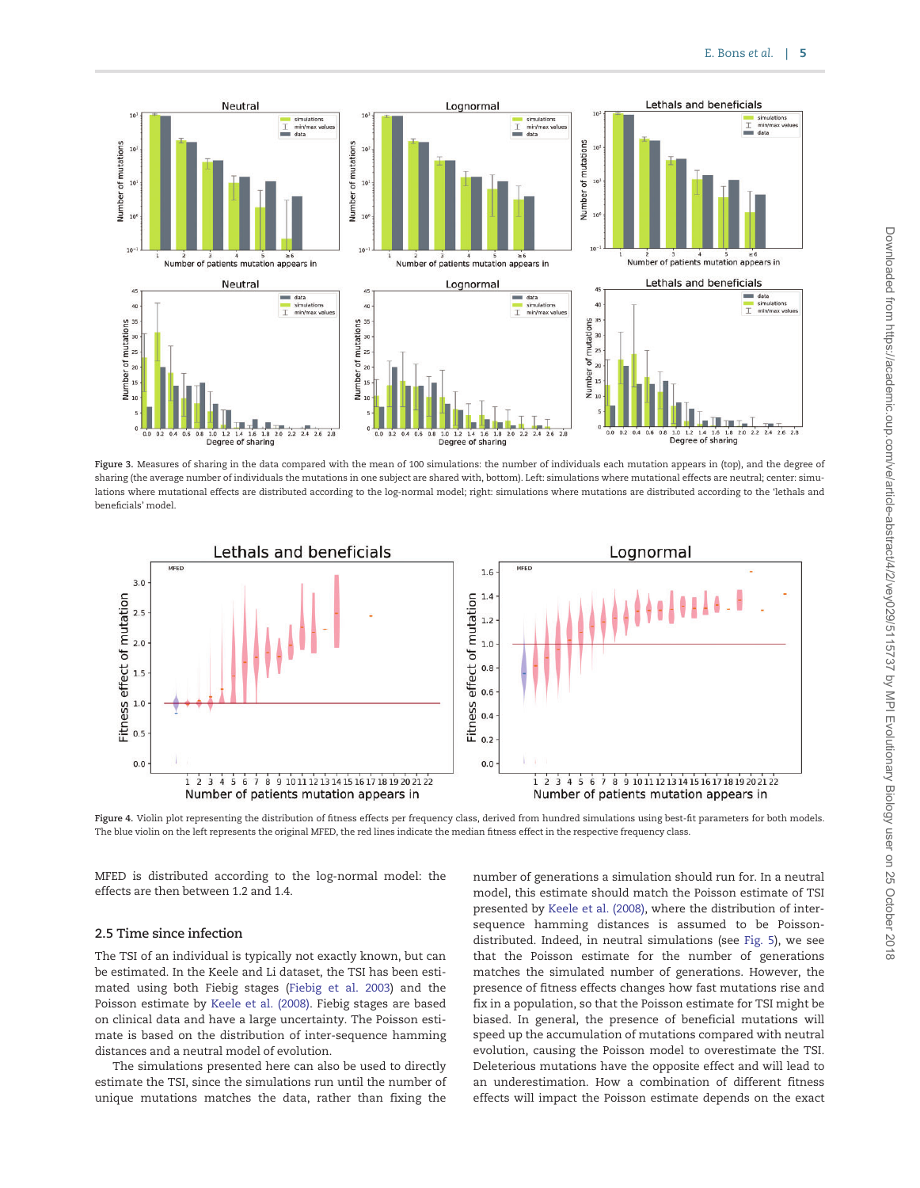<span id="page-4-0"></span>

Figure 3. Measures of sharing in the data compared with the mean of 100 simulations: the number of individuals each mutation appears in (top), and the degree of sharing (the average number of individuals the mutations in one subject are shared with, bottom). Left: simulations where mutational effects are neutral; center: simulations where mutational effects are distributed according to the log-normal model; right: simulations where mutations are distributed according to the 'lethals and beneficials' model.



Figure 4. Violin plot representing the distribution of fitness effects per frequency class, derived from hundred simulations using best-fit parameters for both models. The blue violin on the left represents the original MFED, the red lines indicate the median fitness effect in the respective frequency class.

MFED is distributed according to the log-normal model: the effects are then between 1.2 and 1.4.

### 2.5 Time since infection

The TSI of an individual is typically not exactly known, but can be estimated. In the Keele and Li dataset, the TSI has been estimated using both Fiebig stages ([Fiebig et al. 2003\)](#page-9-0) and the Poisson estimate by [Keele et al. \(2008\)](#page-9-0). Fiebig stages are based on clinical data and have a large uncertainty. The Poisson estimate is based on the distribution of inter-sequence hamming distances and a neutral model of evolution.

The simulations presented here can also be used to directly estimate the TSI, since the simulations run until the number of unique mutations matches the data, rather than fixing the number of generations a simulation should run for. In a neutral model, this estimate should match the Poisson estimate of TSI presented by [Keele et al. \(2008\)](#page-9-0), where the distribution of intersequence hamming distances is assumed to be Poissondistributed. Indeed, in neutral simulations (see [Fig. 5\)](#page-5-0), we see that the Poisson estimate for the number of generations matches the simulated number of generations. However, the presence of fitness effects changes how fast mutations rise and fix in a population, so that the Poisson estimate for TSI might be biased. In general, the presence of beneficial mutations will speed up the accumulation of mutations compared with neutral evolution, causing the Poisson model to overestimate the TSI. Deleterious mutations have the opposite effect and will lead to an underestimation. How a combination of different fitness effects will impact the Poisson estimate depends on the exact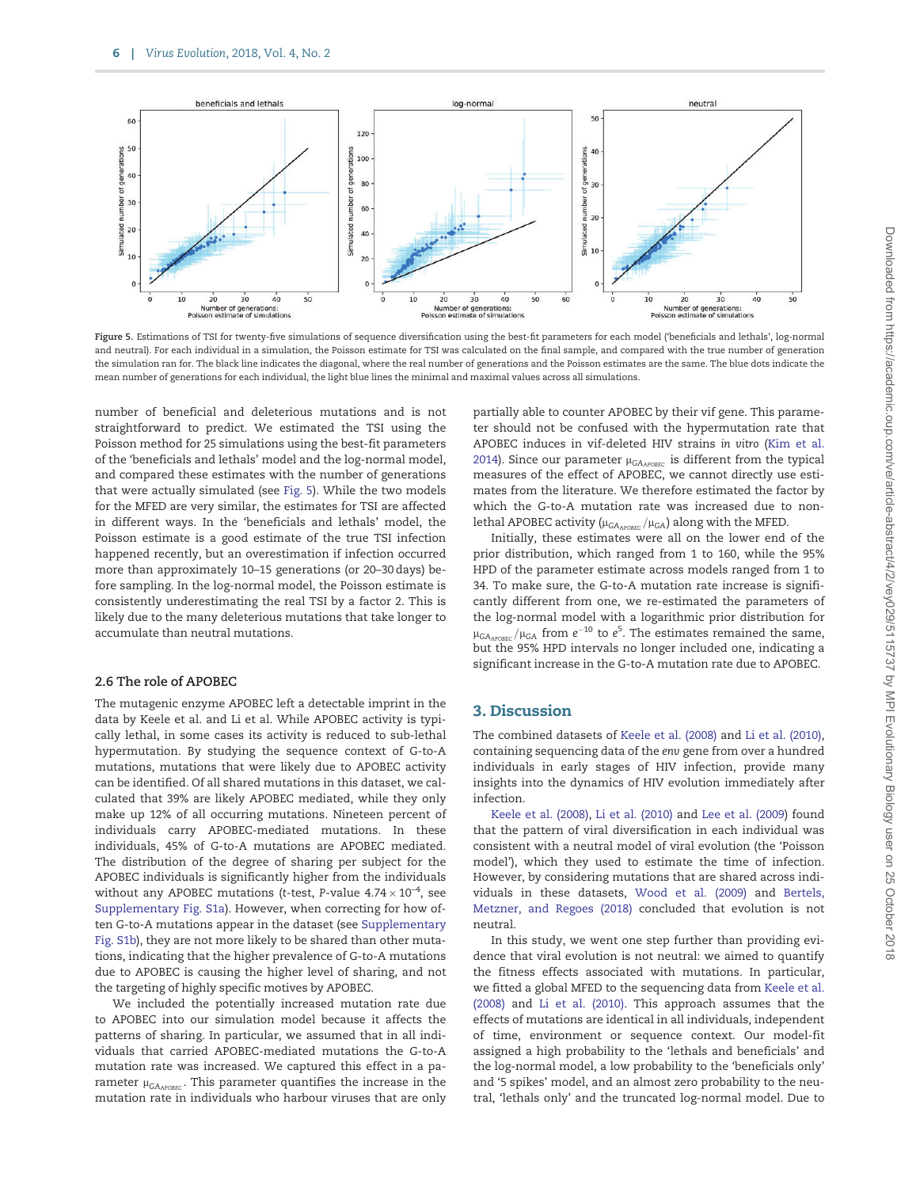<span id="page-5-0"></span>

Figure 5. Estimations of TSI for twenty-five simulations of sequence diversification using the best-fit parameters for each model ('beneficials and lethals', log-normal and neutral). For each individual in a simulation, the Poisson estimate for TSI was calculated on the final sample, and compared with the true number of generation the simulation ran for. The black line indicates the diagonal, where the real number of generations and the Poisson estimates are the same. The blue dots indicate the mean number of generations for each individual, the light blue lines the minimal and maximal values across all simulations.

number of beneficial and deleterious mutations and is not straightforward to predict. We estimated the TSI using the Poisson method for 25 simulations using the best-fit parameters of the 'beneficials and lethals' model and the log-normal model, and compared these estimates with the number of generations that were actually simulated (see Fig. 5). While the two models for the MFED are very similar, the estimates for TSI are affected in different ways. In the 'beneficials and lethals' model, the Poisson estimate is a good estimate of the true TSI infection happened recently, but an overestimation if infection occurred more than approximately 10–15 generations (or 20–30 days) before sampling. In the log-normal model, the Poisson estimate is consistently underestimating the real TSI by a factor 2. This is likely due to the many deleterious mutations that take longer to accumulate than neutral mutations.

### 2.6 The role of APOBEC

The mutagenic enzyme APOBEC left a detectable imprint in the data by Keele et al. and Li et al. While APOBEC activity is typically lethal, in some cases its activity is reduced to sub-lethal hypermutation. By studying the sequence context of G-to-A mutations, mutations that were likely due to APOBEC activity can be identified. Of all shared mutations in this dataset, we calculated that 39% are likely APOBEC mediated, while they only make up 12% of all occurring mutations. Nineteen percent of individuals carry APOBEC-mediated mutations. In these individuals, 45% of G-to-A mutations are APOBEC mediated. The distribution of the degree of sharing per subject for the APOBEC individuals is significantly higher from the individuals without any APOBEC mutations (t-test, P-value 4.74  $\times$  10<sup>-4</sup>, see [Supplementary Fig. S1a\)](https://academic.oup.com/ve/article-lookup/doi/10.1093/ve/vey029#supplementary-data). However, when correcting for how often G-to-A mutations appear in the dataset (see [Supplementary](https://academic.oup.com/ve/article-lookup/doi/10.1093/ve/vey029#supplementary-data) [Fig. S1b\)](https://academic.oup.com/ve/article-lookup/doi/10.1093/ve/vey029#supplementary-data), they are not more likely to be shared than other mutations, indicating that the higher prevalence of G-to-A mutations due to APOBEC is causing the higher level of sharing, and not the targeting of highly specific motives by APOBEC.

We included the potentially increased mutation rate due to APOBEC into our simulation model because it affects the patterns of sharing. In particular, we assumed that in all individuals that carried APOBEC-mediated mutations the G-to-A mutation rate was increased. We captured this effect in a parameter  $\mu_{GA_{APOEC}}$ . This parameter quantifies the increase in the mutation rate in individuals who harbour viruses that are only partially able to counter APOBEC by their vif gene. This parameter should not be confused with the hypermutation rate that APOBEC induces in vif-deleted HIV strains in vitro [\(Kim et al.](#page-9-0) [2014\)](#page-9-0). Since our parameter  $\mu_{\text{GA}_{\text{APOBEC}}}$  is different from the typical measures of the effect of APOBEC, we cannot directly use estimates from the literature. We therefore estimated the factor by which the G-to-A mutation rate was increased due to nonlethal APOBEC activity ( $\mu_{GA_{APOBEC}}/\mu_{GA}$ ) along with the MFED.

Initially, these estimates were all on the lower end of the prior distribution, which ranged from 1 to 160, while the 95% HPD of the parameter estimate across models ranged from 1 to 34. To make sure, the G-to-A mutation rate increase is significantly different from one, we re-estimated the parameters of the log-normal model with a logarithmic prior distribution for  $\mu_{GA_{APOBEC}}/\mu_{GA}$  from  $e^{-10}$  to  $e^5$ . The estimates remained the same, but the 95% HPD intervals no longer included one, indicating a significant increase in the G-to-A mutation rate due to APOBEC.

## 3. Discussion

The combined datasets of [Keele et al. \(2008\)](#page-9-0) and [Li et al. \(2010\)](#page-9-0), containing sequencing data of the env gene from over a hundred individuals in early stages of HIV infection, provide many insights into the dynamics of HIV evolution immediately after infection.

[Keele et al. \(2008\)](#page-9-0), [Li et al. \(2010\)](#page-9-0) and [Lee et al. \(2009](#page-9-0)) found that the pattern of viral diversification in each individual was consistent with a neutral model of viral evolution (the 'Poisson model'), which they used to estimate the time of infection. However, by considering mutations that are shared across individuals in these datasets, [Wood et al. \(2009\)](#page-10-0) and [Bertels,](#page-9-0) [Metzner, and Regoes \(2018\)](#page-9-0) concluded that evolution is not neutral.

In this study, we went one step further than providing evidence that viral evolution is not neutral: we aimed to quantify the fitness effects associated with mutations. In particular, we fitted a global MFED to the sequencing data from [Keele et al.](#page-9-0) [\(2008\)](#page-9-0) and [Li et al. \(2010\).](#page-9-0) This approach assumes that the effects of mutations are identical in all individuals, independent of time, environment or sequence context. Our model-fit assigned a high probability to the 'lethals and beneficials' and the log-normal model, a low probability to the 'beneficials only' and '5 spikes' model, and an almost zero probability to the neutral, 'lethals only' and the truncated log-normal model. Due to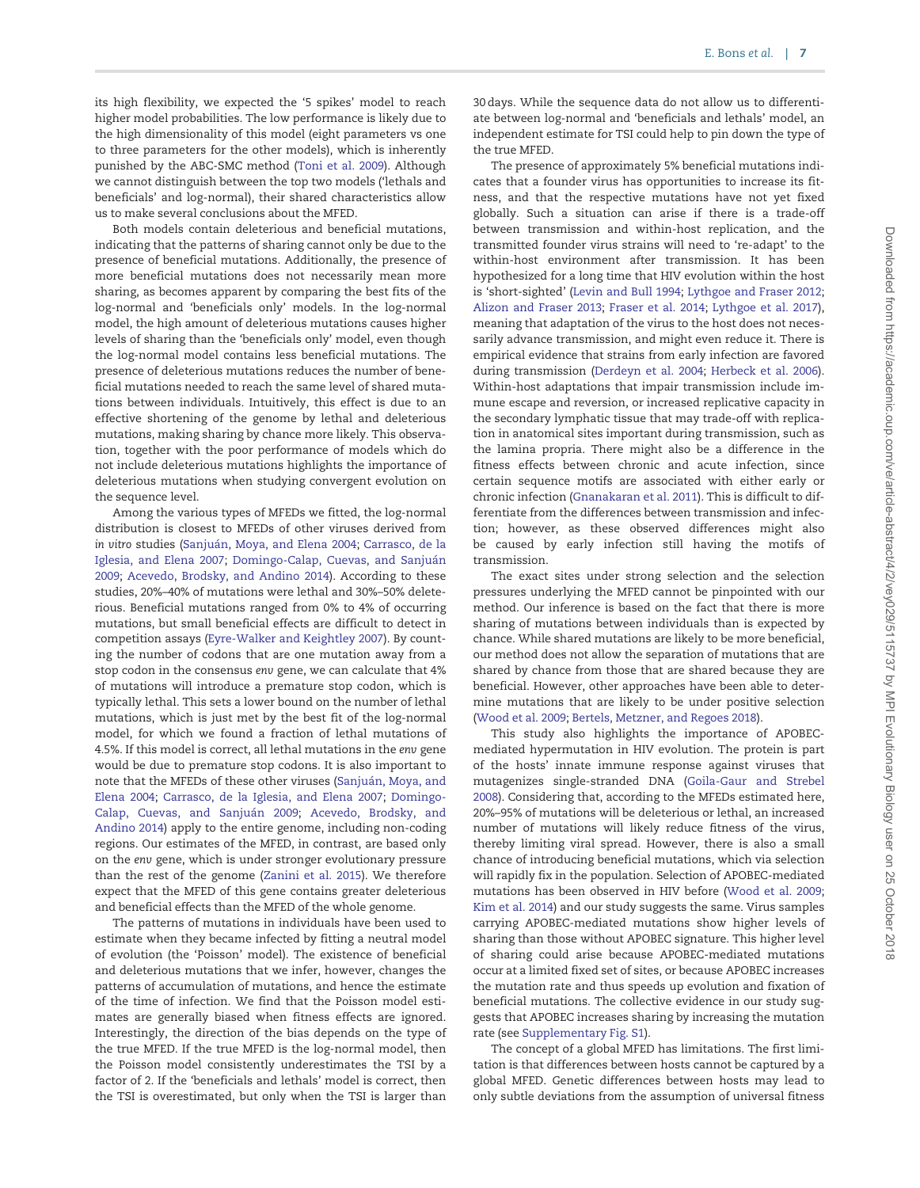its high flexibility, we expected the '5 spikes' model to reach higher model probabilities. The low performance is likely due to the high dimensionality of this model (eight parameters vs one to three parameters for the other models), which is inherently punished by the ABC-SMC method [\(Toni et al. 2009\)](#page-10-0). Although we cannot distinguish between the top two models ('lethals and beneficials' and log-normal), their shared characteristics allow us to make several conclusions about the MFED.

Both models contain deleterious and beneficial mutations, indicating that the patterns of sharing cannot only be due to the presence of beneficial mutations. Additionally, the presence of more beneficial mutations does not necessarily mean more sharing, as becomes apparent by comparing the best fits of the log-normal and 'beneficials only' models. In the log-normal model, the high amount of deleterious mutations causes higher levels of sharing than the 'beneficials only' model, even though the log-normal model contains less beneficial mutations. The presence of deleterious mutations reduces the number of beneficial mutations needed to reach the same level of shared mutations between individuals. Intuitively, this effect is due to an effective shortening of the genome by lethal and deleterious mutations, making sharing by chance more likely. This observation, together with the poor performance of models which do not include deleterious mutations highlights the importance of deleterious mutations when studying convergent evolution on the sequence level.

Among the various types of MFEDs we fitted, the log-normal distribution is closest to MFEDs of other viruses derived from in vitro studies (Sanjuán, Moya, and Elena 2004; [Carrasco, de la](#page-9-0) [Iglesia, and Elena 2007;](#page-9-0) Domingo-Calap, Cuevas, and Sanjuán [2009;](#page-9-0) [Acevedo, Brodsky, and Andino 2014](#page-9-0)). According to these studies, 20%–40% of mutations were lethal and 30%–50% deleterious. Beneficial mutations ranged from 0% to 4% of occurring mutations, but small beneficial effects are difficult to detect in competition assays ([Eyre-Walker and Keightley 2007](#page-9-0)). By counting the number of codons that are one mutation away from a stop codon in the consensus env gene, we can calculate that 4% of mutations will introduce a premature stop codon, which is typically lethal. This sets a lower bound on the number of lethal mutations, which is just met by the best fit of the log-normal model, for which we found a fraction of lethal mutations of 4.5%. If this model is correct, all lethal mutations in the env gene would be due to premature stop codons. It is also important to note that the MFEDs of these other viruses (Sanjuán, Moya, and [Elena 2004](#page-10-0); [Carrasco, de la Iglesia, and Elena 2007](#page-9-0); [Domingo-](#page-9-0)Calap, Cuevas, and Sanjuán 2009; [Acevedo, Brodsky, and](#page-9-0) [Andino 2014](#page-9-0)) apply to the entire genome, including non-coding regions. Our estimates of the MFED, in contrast, are based only on the env gene, which is under stronger evolutionary pressure than the rest of the genome [\(Zanini et al. 2015\)](#page-10-0). We therefore expect that the MFED of this gene contains greater deleterious and beneficial effects than the MFED of the whole genome.

The patterns of mutations in individuals have been used to estimate when they became infected by fitting a neutral model of evolution (the 'Poisson' model). The existence of beneficial and deleterious mutations that we infer, however, changes the patterns of accumulation of mutations, and hence the estimate of the time of infection. We find that the Poisson model estimates are generally biased when fitness effects are ignored. Interestingly, the direction of the bias depends on the type of the true MFED. If the true MFED is the log-normal model, then the Poisson model consistently underestimates the TSI by a factor of 2. If the 'beneficials and lethals' model is correct, then the TSI is overestimated, but only when the TSI is larger than

30 days. While the sequence data do not allow us to differentiate between log-normal and 'beneficials and lethals' model, an independent estimate for TSI could help to pin down the type of the true MFED.

The presence of approximately 5% beneficial mutations indicates that a founder virus has opportunities to increase its fitness, and that the respective mutations have not yet fixed globally. Such a situation can arise if there is a trade-off between transmission and within-host replication, and the transmitted founder virus strains will need to 're-adapt' to the within-host environment after transmission. It has been hypothesized for a long time that HIV evolution within the host is 'short-sighted' ([Levin and Bull 1994](#page-9-0); [Lythgoe and Fraser 2012](#page-9-0); [Alizon and Fraser 2013;](#page-9-0) [Fraser et al. 2014;](#page-9-0) [Lythgoe et al. 2017\)](#page-9-0), meaning that adaptation of the virus to the host does not necessarily advance transmission, and might even reduce it. There is empirical evidence that strains from early infection are favored during transmission ([Derdeyn et al. 2004](#page-9-0); [Herbeck et al. 2006\)](#page-9-0). Within-host adaptations that impair transmission include immune escape and reversion, or increased replicative capacity in the secondary lymphatic tissue that may trade-off with replication in anatomical sites important during transmission, such as the lamina propria. There might also be a difference in the fitness effects between chronic and acute infection, since certain sequence motifs are associated with either early or chronic infection ([Gnanakaran et al. 2011](#page-9-0)). This is difficult to differentiate from the differences between transmission and infection; however, as these observed differences might also be caused by early infection still having the motifs of transmission.

The exact sites under strong selection and the selection pressures underlying the MFED cannot be pinpointed with our method. Our inference is based on the fact that there is more sharing of mutations between individuals than is expected by chance. While shared mutations are likely to be more beneficial, our method does not allow the separation of mutations that are shared by chance from those that are shared because they are beneficial. However, other approaches have been able to determine mutations that are likely to be under positive selection [\(Wood et al. 2009](#page-10-0); [Bertels, Metzner, and Regoes 2018\)](#page-9-0).

This study also highlights the importance of APOBECmediated hypermutation in HIV evolution. The protein is part of the hosts' innate immune response against viruses that mutagenizes single-stranded DNA ([Goila-Gaur and Strebel](#page-9-0) [2008\)](#page-9-0). Considering that, according to the MFEDs estimated here, 20%–95% of mutations will be deleterious or lethal, an increased number of mutations will likely reduce fitness of the virus, thereby limiting viral spread. However, there is also a small chance of introducing beneficial mutations, which via selection will rapidly fix in the population. Selection of APOBEC-mediated mutations has been observed in HIV before [\(Wood et al. 2009](#page-10-0); [Kim et al. 2014\)](#page-9-0) and our study suggests the same. Virus samples carrying APOBEC-mediated mutations show higher levels of sharing than those without APOBEC signature. This higher level of sharing could arise because APOBEC-mediated mutations occur at a limited fixed set of sites, or because APOBEC increases the mutation rate and thus speeds up evolution and fixation of beneficial mutations. The collective evidence in our study suggests that APOBEC increases sharing by increasing the mutation rate (see [Supplementary Fig. S1](https://academic.oup.com/ve/article-lookup/doi/10.1093/ve/vey029#supplementary-data)).

The concept of a global MFED has limitations. The first limitation is that differences between hosts cannot be captured by a global MFED. Genetic differences between hosts may lead to only subtle deviations from the assumption of universal fitness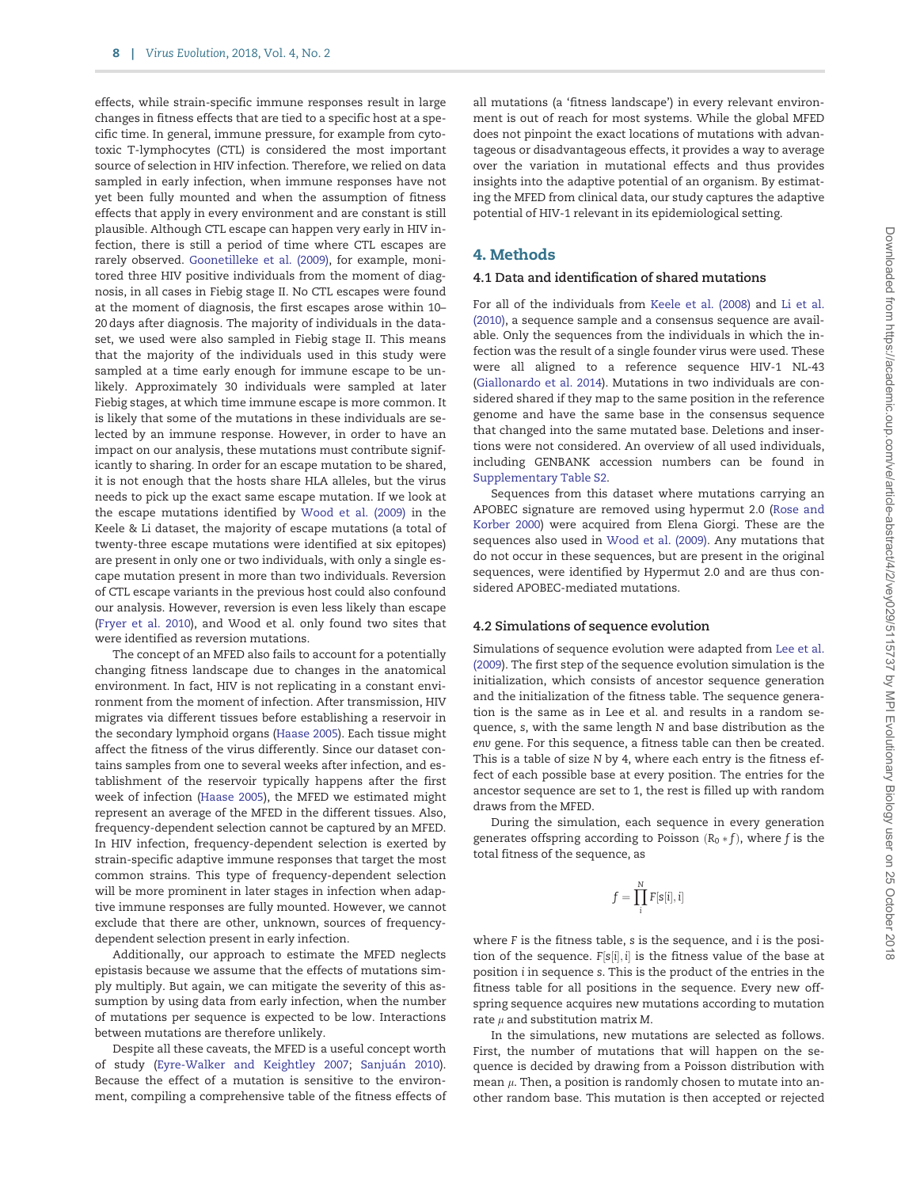effects, while strain-specific immune responses result in large changes in fitness effects that are tied to a specific host at a specific time. In general, immune pressure, for example from cytotoxic T-lymphocytes (CTL) is considered the most important source of selection in HIV infection. Therefore, we relied on data sampled in early infection, when immune responses have not yet been fully mounted and when the assumption of fitness effects that apply in every environment and are constant is still plausible. Although CTL escape can happen very early in HIV infection, there is still a period of time where CTL escapes are rarely observed. [Goonetilleke et al. \(2009\)](#page-9-0), for example, monitored three HIV positive individuals from the moment of diagnosis, in all cases in Fiebig stage II. No CTL escapes were found at the moment of diagnosis, the first escapes arose within 10– 20 days after diagnosis. The majority of individuals in the dataset, we used were also sampled in Fiebig stage II. This means that the majority of the individuals used in this study were sampled at a time early enough for immune escape to be unlikely. Approximately 30 individuals were sampled at later Fiebig stages, at which time immune escape is more common. It is likely that some of the mutations in these individuals are selected by an immune response. However, in order to have an impact on our analysis, these mutations must contribute significantly to sharing. In order for an escape mutation to be shared, it is not enough that the hosts share HLA alleles, but the virus needs to pick up the exact same escape mutation. If we look at the escape mutations identified by [Wood et al. \(2009\)](#page-10-0) in the Keele & Li dataset, the majority of escape mutations (a total of twenty-three escape mutations were identified at six epitopes) are present in only one or two individuals, with only a single escape mutation present in more than two individuals. Reversion of CTL escape variants in the previous host could also confound our analysis. However, reversion is even less likely than escape [\(Fryer et al. 2010\)](#page-9-0), and Wood et al. only found two sites that were identified as reversion mutations.

The concept of an MFED also fails to account for a potentially changing fitness landscape due to changes in the anatomical environment. In fact, HIV is not replicating in a constant environment from the moment of infection. After transmission, HIV migrates via different tissues before establishing a reservoir in the secondary lymphoid organs [\(Haase 2005](#page-9-0)). Each tissue might affect the fitness of the virus differently. Since our dataset contains samples from one to several weeks after infection, and establishment of the reservoir typically happens after the first week of infection ([Haase 2005\)](#page-9-0), the MFED we estimated might represent an average of the MFED in the different tissues. Also, frequency-dependent selection cannot be captured by an MFED. In HIV infection, frequency-dependent selection is exerted by strain-specific adaptive immune responses that target the most common strains. This type of frequency-dependent selection will be more prominent in later stages in infection when adaptive immune responses are fully mounted. However, we cannot exclude that there are other, unknown, sources of frequencydependent selection present in early infection.

Additionally, our approach to estimate the MFED neglects epistasis because we assume that the effects of mutations simply multiply. But again, we can mitigate the severity of this assumption by using data from early infection, when the number of mutations per sequence is expected to be low. Interactions between mutations are therefore unlikely.

Despite all these caveats, the MFED is a useful concept worth of study ([Eyre-Walker and Keightley 2007](#page-9-0); Sanjuán 2010). Because the effect of a mutation is sensitive to the environment, compiling a comprehensive table of the fitness effects of

all mutations (a 'fitness landscape') in every relevant environment is out of reach for most systems. While the global MFED does not pinpoint the exact locations of mutations with advantageous or disadvantageous effects, it provides a way to average over the variation in mutational effects and thus provides insights into the adaptive potential of an organism. By estimating the MFED from clinical data, our study captures the adaptive potential of HIV-1 relevant in its epidemiological setting.

# 4. Methods

## 4.1 Data and identification of shared mutations

For all of the individuals from [Keele et al. \(2008\)](#page-9-0) and [Li et al.](#page-9-0) [\(2010\)](#page-9-0), a sequence sample and a consensus sequence are available. Only the sequences from the individuals in which the infection was the result of a single founder virus were used. These were all aligned to a reference sequence HIV-1 NL-43 [\(Giallonardo et al. 2014\)](#page-9-0). Mutations in two individuals are considered shared if they map to the same position in the reference genome and have the same base in the consensus sequence that changed into the same mutated base. Deletions and insertions were not considered. An overview of all used individuals, including GENBANK accession numbers can be found in [Supplementary Table S2.](https://academic.oup.com/ve/article-lookup/doi/10.1093/ve/vey029#supplementary-data)

Sequences from this dataset where mutations carrying an APOBEC signature are removed using hypermut 2.0 ([Rose and](#page-10-0) [Korber 2000\)](#page-10-0) were acquired from Elena Giorgi. These are the sequences also used in [Wood et al. \(2009\).](#page-10-0) Any mutations that do not occur in these sequences, but are present in the original sequences, were identified by Hypermut 2.0 and are thus considered APOBEC-mediated mutations.

### 4.2 Simulations of sequence evolution

Simulations of sequence evolution were adapted from [Lee et al.](#page-9-0) [\(2009](#page-9-0)). The first step of the sequence evolution simulation is the initialization, which consists of ancestor sequence generation and the initialization of the fitness table. The sequence generation is the same as in Lee et al. and results in a random sequence, s, with the same length N and base distribution as the env gene. For this sequence, a fitness table can then be created. This is a table of size N by 4, where each entry is the fitness effect of each possible base at every position. The entries for the ancestor sequence are set to 1, the rest is filled up with random draws from the MFED.

During the simulation, each sequence in every generation generates offspring according to Poisson  $(R_0 * f)$ , where f is the total fitness of the sequence, as

$$
f=\prod_i^N F[s[i],i]
$$

where F is the fitness table, s is the sequence, and i is the position of the sequence.  $F[s[i], i]$  is the fitness value of the base at position i in sequence s. This is the product of the entries in the fitness table for all positions in the sequence. Every new offspring sequence acquires new mutations according to mutation rate  $\mu$  and substitution matrix M.

In the simulations, new mutations are selected as follows. First, the number of mutations that will happen on the sequence is decided by drawing from a Poisson distribution with mean  $\mu$ . Then, a position is randomly chosen to mutate into another random base. This mutation is then accepted or rejected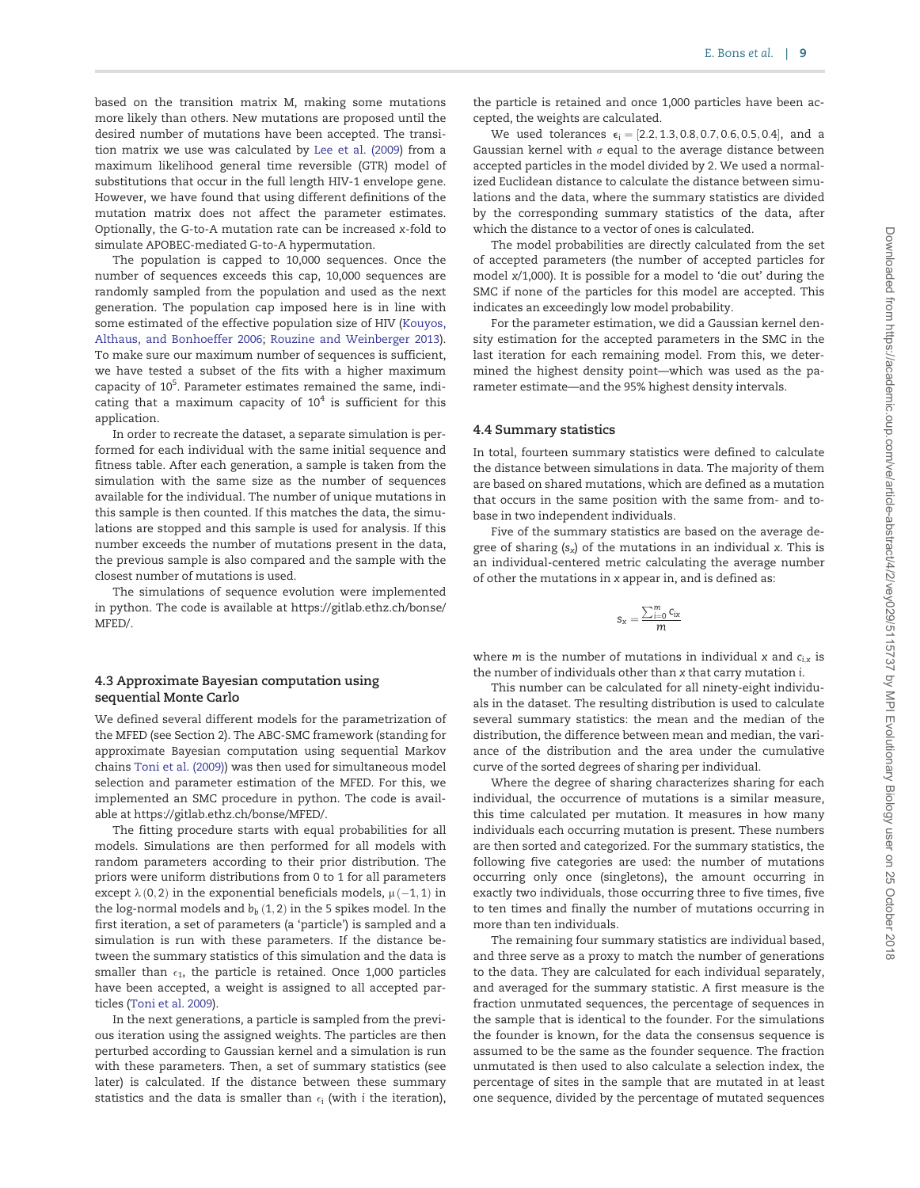based on the transition matrix M, making some mutations more likely than others. New mutations are proposed until the desired number of mutations have been accepted. The transition matrix we use was calculated by [Lee et al. \(2009](#page-9-0)) from a maximum likelihood general time reversible (GTR) model of substitutions that occur in the full length HIV-1 envelope gene. However, we have found that using different definitions of the mutation matrix does not affect the parameter estimates. Optionally, the G-to-A mutation rate can be increased x-fold to simulate APOBEC-mediated G-to-A hypermutation.

The population is capped to 10,000 sequences. Once the number of sequences exceeds this cap, 10,000 sequences are randomly sampled from the population and used as the next generation. The population cap imposed here is in line with some estimated of the effective population size of HIV [\(Kouyos,](#page-9-0) [Althaus, and Bonhoeffer 2006;](#page-9-0) [Rouzine and Weinberger 2013\)](#page-10-0). To make sure our maximum number of sequences is sufficient, we have tested a subset of the fits with a higher maximum capacity of 10<sup>5</sup>. Parameter estimates remained the same, indicating that a maximum capacity of  $10<sup>4</sup>$  is sufficient for this application.

In order to recreate the dataset, a separate simulation is performed for each individual with the same initial sequence and fitness table. After each generation, a sample is taken from the simulation with the same size as the number of sequences available for the individual. The number of unique mutations in this sample is then counted. If this matches the data, the simulations are stopped and this sample is used for analysis. If this number exceeds the number of mutations present in the data, the previous sample is also compared and the sample with the closest number of mutations is used.

The simulations of sequence evolution were implemented in python. The code is available at [https://gitlab.ethz.ch/bonse/](https://gitlab.ethz.ch/bonse/MFED/) [MFED/.](https://gitlab.ethz.ch/bonse/MFED/)

### 4.3 Approximate Bayesian computation using sequential Monte Carlo

We defined several different models for the parametrization of the MFED (see Section 2). The ABC-SMC framework (standing for approximate Bayesian computation using sequential Markov chains [Toni et al. \(2009\)\)](#page-10-0) was then used for simultaneous model selection and parameter estimation of the MFED. For this, we implemented an SMC procedure in python. The code is available at<https://gitlab.ethz.ch/bonse/MFED/>.

The fitting procedure starts with equal probabilities for all models. Simulations are then performed for all models with random parameters according to their prior distribution. The priors were uniform distributions from 0 to 1 for all parameters except  $\lambda$  (0,2) in the exponential beneficials models,  $\mu$  (-1,1) in the log-normal models and  $b_b$  (1, 2) in the 5 spikes model. In the first iteration, a set of parameters (a 'particle') is sampled and a simulation is run with these parameters. If the distance between the summary statistics of this simulation and the data is smaller than  $\epsilon_1$ , the particle is retained. Once 1,000 particles have been accepted, a weight is assigned to all accepted particles ([Toni et al. 2009](#page-10-0)).

In the next generations, a particle is sampled from the previous iteration using the assigned weights. The particles are then perturbed according to Gaussian kernel and a simulation is run with these parameters. Then, a set of summary statistics (see later) is calculated. If the distance between these summary statistics and the data is smaller than  $\epsilon_{\rm i}$  (with i the iteration),

the particle is retained and once 1,000 particles have been accepted, the weights are calculated.

We used tolerances  $\epsilon_i = [2.2, 1.3, 0.8, 0.7, 0.6, 0.5, 0.4]$ , and a Gaussian kernel with  $\sigma$  equal to the average distance between accepted particles in the model divided by 2. We used a normalized Euclidean distance to calculate the distance between simulations and the data, where the summary statistics are divided by the corresponding summary statistics of the data, after which the distance to a vector of ones is calculated.

The model probabilities are directly calculated from the set of accepted parameters (the number of accepted particles for model x/1,000). It is possible for a model to 'die out' during the SMC if none of the particles for this model are accepted. This indicates an exceedingly low model probability.

For the parameter estimation, we did a Gaussian kernel density estimation for the accepted parameters in the SMC in the last iteration for each remaining model. From this, we determined the highest density point—which was used as the parameter estimate—and the 95% highest density intervals.

#### 4.4 Summary statistics

In total, fourteen summary statistics were defined to calculate the distance between simulations in data. The majority of them are based on shared mutations, which are defined as a mutation that occurs in the same position with the same from- and tobase in two independent individuals.

Five of the summary statistics are based on the average degree of sharing  $(s_x)$  of the mutations in an individual x. This is an individual-centered metric calculating the average number of other the mutations in x appear in, and is defined as:

$$
s_x = \frac{\sum_{i=0}^m c_{ix}}{m}
$$

where *m* is the number of mutations in individual  $x$  and  $c_{i,x}$  is the number of individuals other than x that carry mutation i.

This number can be calculated for all ninety-eight individuals in the dataset. The resulting distribution is used to calculate several summary statistics: the mean and the median of the distribution, the difference between mean and median, the variance of the distribution and the area under the cumulative curve of the sorted degrees of sharing per individual.

Where the degree of sharing characterizes sharing for each individual, the occurrence of mutations is a similar measure, this time calculated per mutation. It measures in how many individuals each occurring mutation is present. These numbers are then sorted and categorized. For the summary statistics, the following five categories are used: the number of mutations occurring only once (singletons), the amount occurring in exactly two individuals, those occurring three to five times, five to ten times and finally the number of mutations occurring in more than ten individuals.

The remaining four summary statistics are individual based, and three serve as a proxy to match the number of generations to the data. They are calculated for each individual separately, and averaged for the summary statistic. A first measure is the fraction unmutated sequences, the percentage of sequences in the sample that is identical to the founder. For the simulations the founder is known, for the data the consensus sequence is assumed to be the same as the founder sequence. The fraction unmutated is then used to also calculate a selection index, the percentage of sites in the sample that are mutated in at least one sequence, divided by the percentage of mutated sequences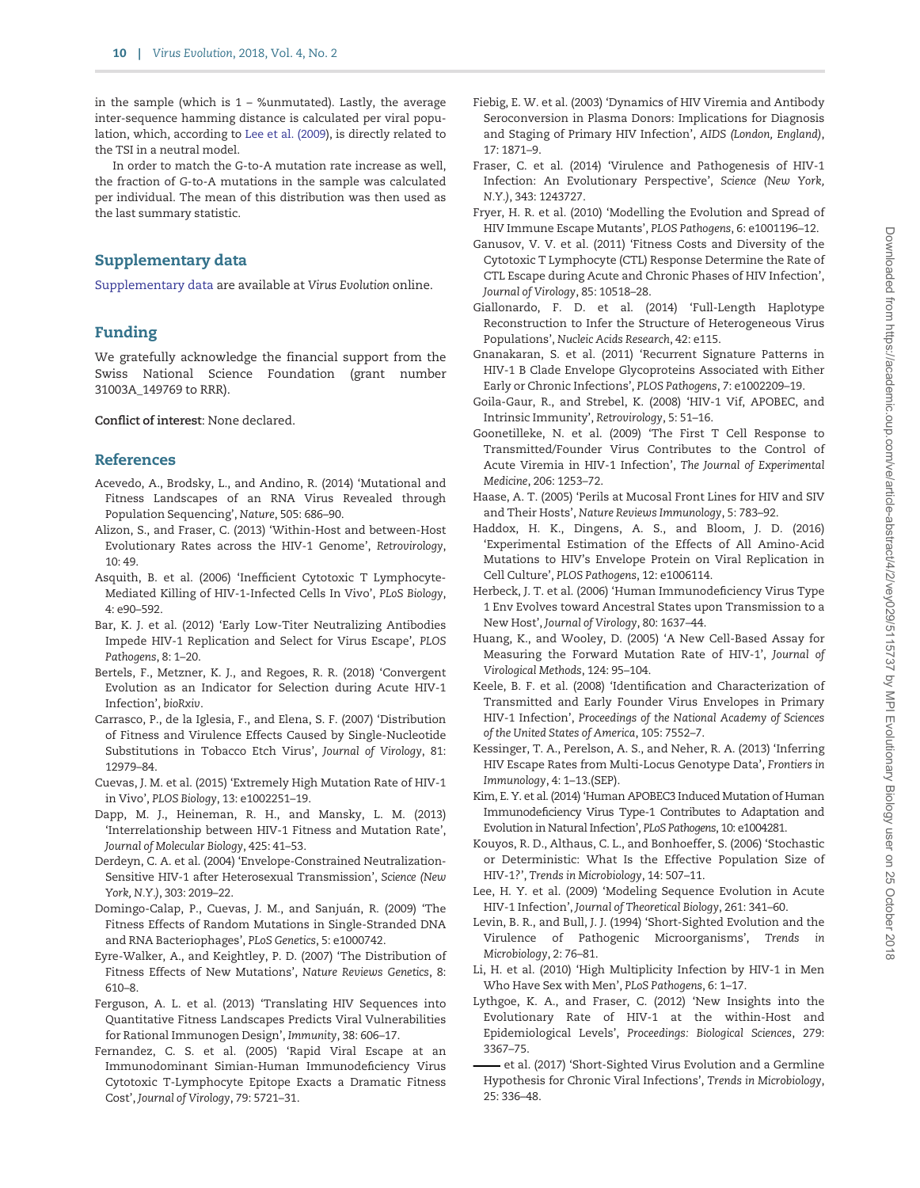<span id="page-9-0"></span>in the sample (which is  $1 - \%$ unmutated). Lastly, the average inter-sequence hamming distance is calculated per viral population, which, according to Lee et al. (2009), is directly related to the TSI in a neutral model.

In order to match the G-to-A mutation rate increase as well, the fraction of G-to-A mutations in the sample was calculated per individual. The mean of this distribution was then used as the last summary statistic.

# Supplementary data

[Supplementary data](https://academic.oup.com/ve/article-lookup/doi/10.1093/ve/vey029#supplementary-data) are available at Virus Evolution online.

# Funding

We gratefully acknowledge the financial support from the Swiss National Science Foundation (grant number 31003A\_149769 to RRR).

Conflict of interest: None declared.

## References

- Acevedo, A., Brodsky, L., and Andino, R. (2014) 'Mutational and Fitness Landscapes of an RNA Virus Revealed through Population Sequencing', Nature, 505: 686–90.
- Alizon, S., and Fraser, C. (2013) 'Within-Host and between-Host Evolutionary Rates across the HIV-1 Genome', Retrovirology,  $10:49.$
- Asquith, B. et al. (2006) 'Inefficient Cytotoxic T Lymphocyte-Mediated Killing of HIV-1-Infected Cells In Vivo', PLoS Biology, 4: e90–592.
- Bar, K. J. et al. (2012) 'Early Low-Titer Neutralizing Antibodies Impede HIV-1 Replication and Select for Virus Escape', PLOS Pathogens, 8: 1–20.
- Bertels, F., Metzner, K. J., and Regoes, R. R. (2018) 'Convergent Evolution as an Indicator for Selection during Acute HIV-1 Infection', bioRxiv.
- Carrasco, P., de la Iglesia, F., and Elena, S. F. (2007) 'Distribution of Fitness and Virulence Effects Caused by Single-Nucleotide Substitutions in Tobacco Etch Virus', Journal of Virology, 81: 12979–84.
- Cuevas, J. M. et al. (2015) 'Extremely High Mutation Rate of HIV-1 in Vivo', PLOS Biology, 13: e1002251–19.
- Dapp, M. J., Heineman, R. H., and Mansky, L. M. (2013) 'Interrelationship between HIV-1 Fitness and Mutation Rate', Journal of Molecular Biology, 425: 41–53.
- Derdeyn, C. A. et al. (2004) 'Envelope-Constrained Neutralization-Sensitive HIV-1 after Heterosexual Transmission', Science (New York, N.Y.), 303: 2019–22.
- Domingo-Calap, P., Cuevas, J. M., and Sanjuán, R. (2009) 'The Fitness Effects of Random Mutations in Single-Stranded DNA and RNA Bacteriophages', PLoS Genetics, 5: e1000742.
- Eyre-Walker, A., and Keightley, P. D. (2007) 'The Distribution of Fitness Effects of New Mutations', Nature Reviews Genetics, 8: 610–8.
- Ferguson, A. L. et al. (2013) 'Translating HIV Sequences into Quantitative Fitness Landscapes Predicts Viral Vulnerabilities for Rational Immunogen Design', Immunity, 38: 606–17.
- Fernandez, C. S. et al. (2005) 'Rapid Viral Escape at an Immunodominant Simian-Human Immunodeficiency Virus Cytotoxic T-Lymphocyte Epitope Exacts a Dramatic Fitness Cost', Journal of Virology, 79: 5721–31.
- Fiebig, E. W. et al. (2003) 'Dynamics of HIV Viremia and Antibody Seroconversion in Plasma Donors: Implications for Diagnosis and Staging of Primary HIV Infection', AIDS (London, England), 17: 1871–9.
- Fraser, C. et al. (2014) 'Virulence and Pathogenesis of HIV-1 Infection: An Evolutionary Perspective', Science (New York, N.Y.), 343: 1243727.
- Fryer, H. R. et al. (2010) 'Modelling the Evolution and Spread of HIV Immune Escape Mutants', PLOS Pathogens, 6: e1001196–12.
- Ganusov, V. V. et al. (2011) 'Fitness Costs and Diversity of the Cytotoxic T Lymphocyte (CTL) Response Determine the Rate of CTL Escape during Acute and Chronic Phases of HIV Infection', Journal of Virology, 85: 10518–28.
- Giallonardo, F. D. et al. (2014) 'Full-Length Haplotype Reconstruction to Infer the Structure of Heterogeneous Virus Populations', Nucleic Acids Research, 42: e115.
- Gnanakaran, S. et al. (2011) 'Recurrent Signature Patterns in HIV-1 B Clade Envelope Glycoproteins Associated with Either Early or Chronic Infections', PLOS Pathogens, 7: e1002209–19.
- Goila-Gaur, R., and Strebel, K. (2008) 'HIV-1 Vif, APOBEC, and Intrinsic Immunity', Retrovirology, 5: 51–16.
- Goonetilleke, N. et al. (2009) 'The First T Cell Response to Transmitted/Founder Virus Contributes to the Control of Acute Viremia in HIV-1 Infection', The Journal of Experimental Medicine, 206: 1253–72.
- Haase, A. T. (2005) 'Perils at Mucosal Front Lines for HIV and SIV and Their Hosts', Nature Reviews Immunology, 5: 783–92.
- Haddox, H. K., Dingens, A. S., and Bloom, J. D. (2016) 'Experimental Estimation of the Effects of All Amino-Acid Mutations to HIV's Envelope Protein on Viral Replication in Cell Culture', PLOS Pathogens, 12: e1006114.
- Herbeck, J. T. et al. (2006) 'Human Immunodeficiency Virus Type 1 Env Evolves toward Ancestral States upon Transmission to a New Host', Journal of Virology, 80: 1637–44.
- Huang, K., and Wooley, D. (2005) 'A New Cell-Based Assay for Measuring the Forward Mutation Rate of HIV-1', Journal of Virological Methods, 124: 95–104.
- Keele, B. F. et al. (2008) 'Identification and Characterization of Transmitted and Early Founder Virus Envelopes in Primary HIV-1 Infection', Proceedings of the National Academy of Sciences of the United States of America, 105: 7552–7.
- Kessinger, T. A., Perelson, A. S., and Neher, R. A. (2013) 'Inferring HIV Escape Rates from Multi-Locus Genotype Data', Frontiers in Immunology, 4: 1–13.(SEP).
- Kim, E. Y. et al. (2014) 'Human APOBEC3 Induced Mutation of Human Immunodeficiency Virus Type-1 Contributes to Adaptation and Evolution in Natural Infection', PLoS Pathogens, 10: e1004281.
- Kouyos, R. D., Althaus, C. L., and Bonhoeffer, S. (2006) 'Stochastic or Deterministic: What Is the Effective Population Size of HIV-1?', Trends in Microbiology, 14: 507–11.
- Lee, H. Y. et al. (2009) 'Modeling Sequence Evolution in Acute HIV-1 Infection', Journal of Theoretical Biology, 261: 341–60.
- Levin, B. R., and Bull, J. J. (1994) 'Short-Sighted Evolution and the Virulence of Pathogenic Microorganisms', Trends in Microbiology, 2: 76–81.
- Li, H. et al. (2010) 'High Multiplicity Infection by HIV-1 in Men Who Have Sex with Men', PLoS Pathogens, 6: 1–17.
- Lythgoe, K. A., and Fraser, C. (2012) 'New Insights into the Evolutionary Rate of HIV-1 at the within-Host and Epidemiological Levels', Proceedings: Biological Sciences, 279: 3367–75.
- et al. (2017) 'Short-Sighted Virus Evolution and a Germline Hypothesis for Chronic Viral Infections', Trends in Microbiology, 25: 336–48.